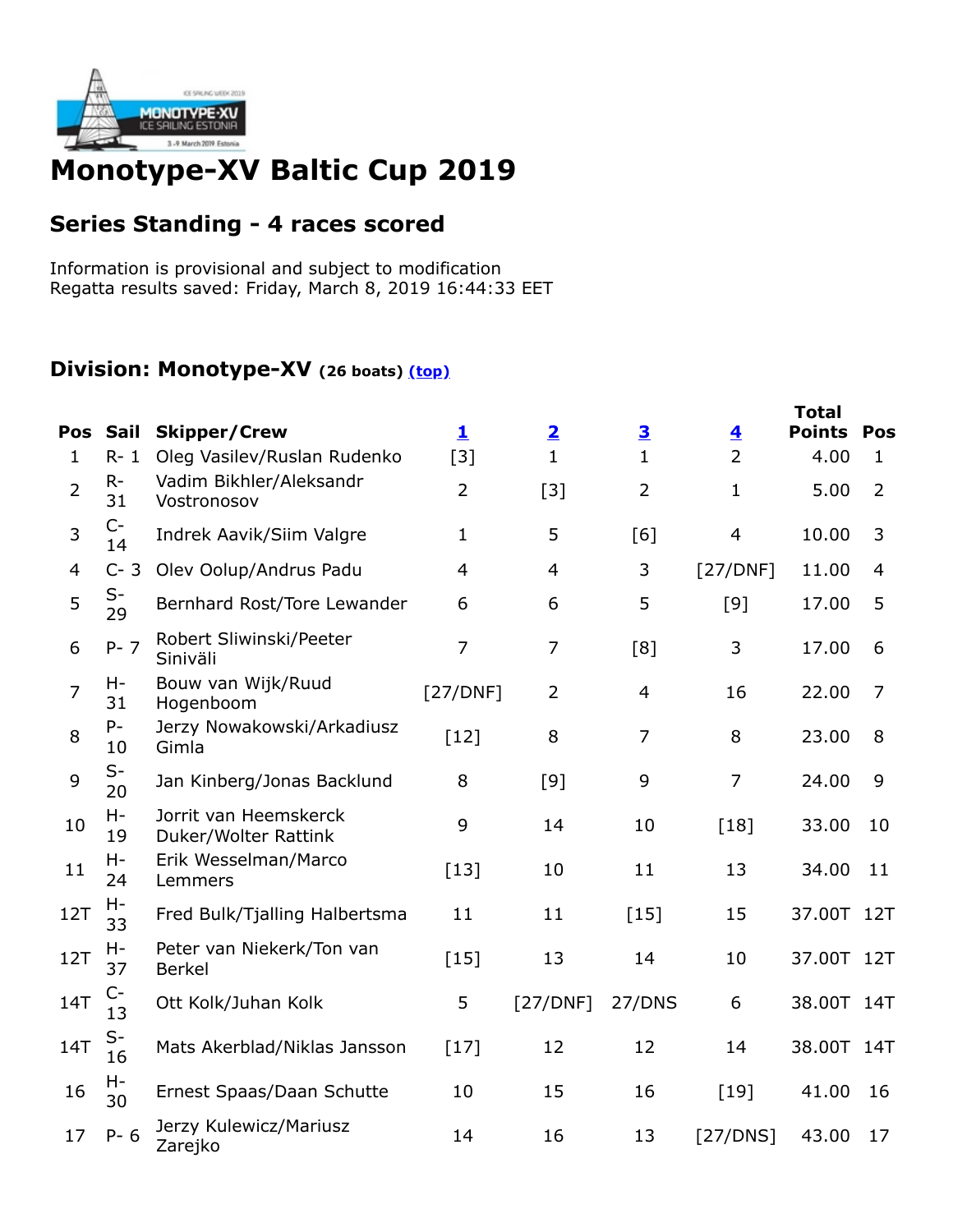

## **Monotype-XV Baltic Cup 2019**

## **Series Standing - 4 races scored**

Information is provisional and subject to modification Regatta results saved: Friday, March 8, 2019 16:44:33 EET

## **Division: Monotype-XV (26 boats) (top)**

|                |             |                                               |                         |                         |                         |                         | <b>Total</b>  |                |
|----------------|-------------|-----------------------------------------------|-------------------------|-------------------------|-------------------------|-------------------------|---------------|----------------|
| Pos            | <b>Sail</b> | <b>Skipper/Crew</b>                           | $\overline{\mathbf{1}}$ | $\overline{\mathbf{2}}$ | $\overline{\mathbf{3}}$ | $\overline{\mathbf{4}}$ | <b>Points</b> | Pos            |
| $\mathbf{1}$   | $R - 1$     | Oleg Vasilev/Ruslan Rudenko                   | $[3]$                   | $\mathbf{1}$            | $\mathbf 1$             | $\overline{2}$          | 4.00          | $\mathbf{1}$   |
| $\overline{2}$ | $R -$<br>31 | Vadim Bikhler/Aleksandr<br>Vostronosov        | $\overline{2}$          | $[3]$                   | $\overline{2}$          | $\mathbf{1}$            | 5.00          | $\overline{2}$ |
| 3              | $C-$<br>14  | Indrek Aavik/Siim Valgre                      | $\mathbf 1$             | 5                       | [6]                     | $\overline{4}$          | 10.00         | 3              |
| 4              | $C - 3$     | Olev Oolup/Andrus Padu                        | $\overline{4}$          | $\overline{4}$          | 3                       | [27/DNF]                | 11.00         | 4              |
| 5              | $S-$<br>29  | Bernhard Rost/Tore Lewander                   | 6                       | 6                       | 5                       | [9]                     | 17.00         | 5              |
| 6              | $P - 7$     | Robert Sliwinski/Peeter<br>Siniväli           | $\overline{7}$          | $\overline{7}$          | [8]                     | 3                       | 17.00         | 6              |
| $\overline{7}$ | H-<br>31    | Bouw van Wijk/Ruud<br>Hogenboom               | [27/DNF]                | $\overline{2}$          | 4                       | 16                      | 22.00         | 7              |
| 8              | P-<br>10    | Jerzy Nowakowski/Arkadiusz<br>Gimla           | $[12]$                  | 8                       | $\overline{7}$          | 8                       | 23.00         | 8              |
| 9              | $S-$<br>20  | Jan Kinberg/Jonas Backlund                    | 8                       | $[9]$                   | 9                       | $\overline{7}$          | 24.00         | 9              |
| 10             | H-<br>19    | Jorrit van Heemskerck<br>Duker/Wolter Rattink | 9                       | 14                      | 10                      | $[18]$                  | 33.00         | 10             |
| 11             | H-<br>24    | Erik Wesselman/Marco<br>Lemmers               | $[13]$                  | 10                      | 11                      | 13                      | 34.00         | 11             |
| 12T            | Н-<br>33    | Fred Bulk/Tjalling Halbertsma                 | 11                      | 11                      | $[15]$                  | 15                      | 37.00T 12T    |                |
| <b>12T</b>     | Н-<br>37    | Peter van Niekerk/Ton van<br><b>Berkel</b>    | $[15]$                  | 13                      | 14                      | 10                      | 37.00T 12T    |                |
| <b>14T</b>     | $C-$<br>13  | Ott Kolk/Juhan Kolk                           | 5                       | [27/DNF]                | 27/DNS                  | 6                       | 38.00T 14T    |                |
| <b>14T</b>     | $S-$<br>16  | Mats Akerblad/Niklas Jansson                  | $[17]$                  | 12                      | 12                      | 14                      | 38.00T 14T    |                |
| 16             | Н-<br>30    | Ernest Spaas/Daan Schutte                     | 10                      | 15                      | 16                      | $[19]$                  | 41.00         | 16             |
| 17             | $P - 6$     | Jerzy Kulewicz/Mariusz<br>Zarejko             | 14                      | 16                      | 13                      | [27/DNS]                | 43.00         | 17             |